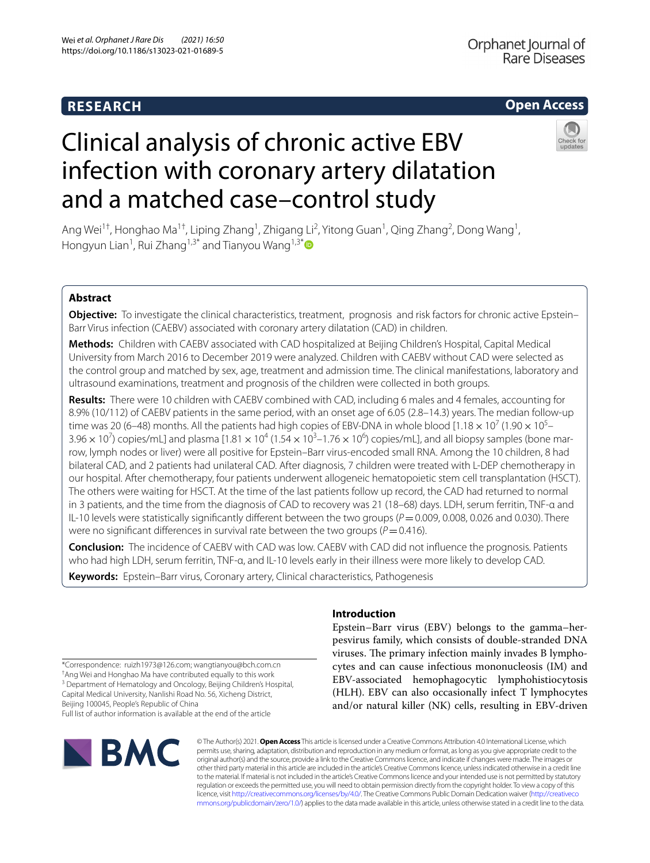## **RESEARCH**

## **Open Access**

# Clinical analysis of chronic active EBV infection with coronary artery dilatation and a matched case–control study

Ang Wei<sup>1†</sup>, Honghao Ma<sup>1†</sup>, Liping Zhang<sup>1</sup>, Zhigang Li<sup>2</sup>, Yitong Guan<sup>1</sup>, Qing Zhang<sup>2</sup>, Dong Wang<sup>1</sup>, Hongyun Lian<sup>1</sup>, Rui Zhang<sup>1,3[\\*](http://orcid.org/0000-0001-9946-8567)</sup> and Tianyou Wang<sup>1,3\*</sup>

## **Abstract**

**Objective:** To investigate the clinical characteristics, treatment, prognosis and risk factors for chronic active Epstein– Barr Virus infection (CAEBV) associated with coronary artery dilatation (CAD) in children.

**Methods:** Children with CAEBV associated with CAD hospitalized at Beijing Children's Hospital, Capital Medical University from March 2016 to December 2019 were analyzed. Children with CAEBV without CAD were selected as the control group and matched by sex, age, treatment and admission time. The clinical manifestations, laboratory and ultrasound examinations, treatment and prognosis of the children were collected in both groups.

**Results:** There were 10 children with CAEBV combined with CAD, including 6 males and 4 females, accounting for 8.9% (10/112) of CAEBV patients in the same period, with an onset age of 6.05 (2.8–14.3) years. The median follow-up time was 20 (6–48) months. All the patients had high copies of EBV-DNA in whole blood [1.18  $\times$  10<sup>7</sup> (1.90  $\times$  10<sup>5</sup>–  $3.96 \times 10^7$ ) copies/mL] and plasma [1.81  $\times$  10<sup>4</sup> (1.54  $\times$  10<sup>3</sup>–1.76  $\times$  10<sup>6</sup>) copies/mL], and all biopsy samples (bone marrow, lymph nodes or liver) were all positive for Epstein–Barr virus-encoded small RNA. Among the 10 children, 8 had bilateral CAD, and 2 patients had unilateral CAD. After diagnosis, 7 children were treated with L-DEP chemotherapy in our hospital. After chemotherapy, four patients underwent allogeneic hematopoietic stem cell transplantation (HSCT). The others were waiting for HSCT. At the time of the last patients follow up record, the CAD had returned to normal in 3 patients, and the time from the diagnosis of CAD to recovery was 21 (18–68) days. LDH, serum ferritin, TNF-α and IL-10 levels were statistically significantly different between the two groups ( $P=0.009$ , 0.008, 0.026 and 0.030). There were no significant differences in survival rate between the two groups ( $P = 0.416$ ).

**Conclusion:** The incidence of CAEBV with CAD was low. CAEBV with CAD did not infuence the prognosis. Patients who had high LDH, serum ferritin, TNF-α, and IL-10 levels early in their illness were more likely to develop CAD.

**Keywords:** Epstein–Barr virus, Coronary artery, Clinical characteristics, Pathogenesis

## **Introduction**

Epstein–Barr virus (EBV) belongs to the gamma–herpesvirus family, which consists of double-stranded DNA viruses. The primary infection mainly invades B lymphocytes and can cause infectious mononucleosis (IM) and EBV-associated hemophagocytic lymphohistiocytosis (HLH). EBV can also occasionally infect T lymphocytes and/or natural killer (NK) cells, resulting in EBV-driven

\*Correspondence: ruizh1973@126.com; wangtianyou@bch.com.cn † Ang Wei and Honghao Ma have contributed equally to this work <sup>3</sup> Department of Hematology and Oncology, Beijing Children's Hospital, Capital Medical University, Nanlishi Road No. 56, Xicheng District, Beijing 100045, People's Republic of China Full list of author information is available at the end of the article



© The Author(s) 2021. **Open Access** This article is licensed under a Creative Commons Attribution 4.0 International License, which permits use, sharing, adaptation, distribution and reproduction in any medium or format, as long as you give appropriate credit to the original author(s) and the source, provide a link to the Creative Commons licence, and indicate if changes were made. The images or other third party material in this article are included in the article's Creative Commons licence, unless indicated otherwise in a credit line to the material. If material is not included in the article's Creative Commons licence and your intended use is not permitted by statutory regulation or exceeds the permitted use, you will need to obtain permission directly from the copyright holder. To view a copy of this licence, visit [http://creativecommons.org/licenses/by/4.0/.](http://creativecommons.org/licenses/by/4.0/) The Creative Commons Public Domain Dedication waiver ([http://creativeco](http://creativecommons.org/publicdomain/zero/1.0/) [mmons.org/publicdomain/zero/1.0/](http://creativecommons.org/publicdomain/zero/1.0/)) applies to the data made available in this article, unless otherwise stated in a credit line to the data.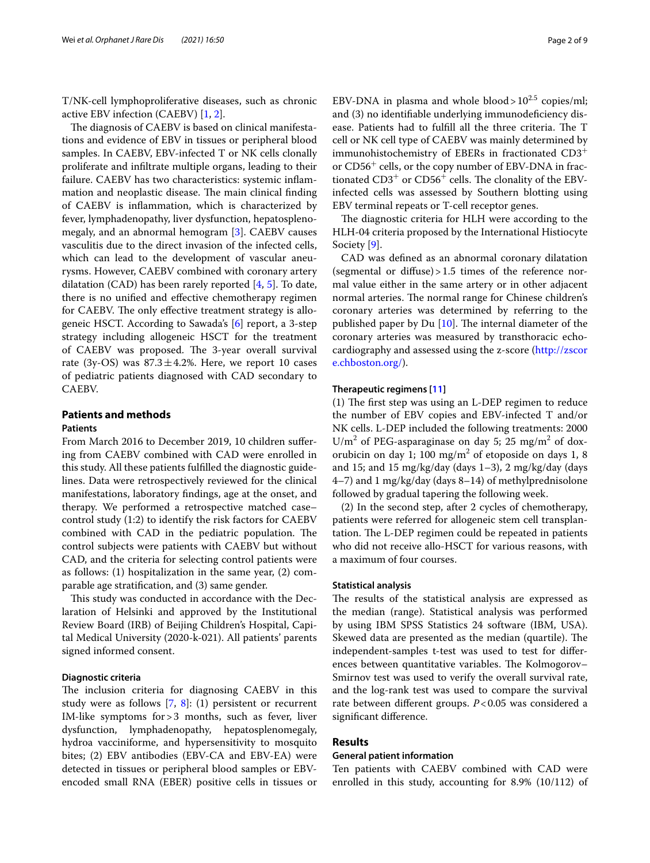T/NK-cell lymphoproliferative diseases, such as chronic active EBV infection (CAEBV) [[1,](#page-8-0) [2](#page-8-1)].

The diagnosis of CAEBV is based on clinical manifestations and evidence of EBV in tissues or peripheral blood samples. In CAEBV, EBV-infected T or NK cells clonally proliferate and infltrate multiple organs, leading to their failure. CAEBV has two characteristics: systemic infammation and neoplastic disease. The main clinical finding of CAEBV is infammation, which is characterized by fever, lymphadenopathy, liver dysfunction, hepatosplenomegaly, and an abnormal hemogram [\[3](#page-8-2)]. CAEBV causes vasculitis due to the direct invasion of the infected cells, which can lead to the development of vascular aneurysms. However, CAEBV combined with coronary artery dilatation (CAD) has been rarely reported  $[4, 5]$  $[4, 5]$  $[4, 5]$  $[4, 5]$ . To date, there is no unifed and efective chemotherapy regimen for CAEBV. The only effective treatment strategy is allogeneic HSCT. According to Sawada's [\[6](#page-8-5)] report, a 3-step strategy including allogeneic HSCT for the treatment of CAEBV was proposed. The 3-year overall survival rate (3y-OS) was  $87.3 \pm 4.2$ %. Here, we report 10 cases of pediatric patients diagnosed with CAD secondary to CAEBV.

## **Patients and methods**

## **Patients**

From March 2016 to December 2019, 10 children sufering from CAEBV combined with CAD were enrolled in this study. All these patients fulflled the diagnostic guidelines. Data were retrospectively reviewed for the clinical manifestations, laboratory fndings, age at the onset, and therapy. We performed a retrospective matched case– control study (1:2) to identify the risk factors for CAEBV combined with CAD in the pediatric population. The control subjects were patients with CAEBV but without CAD, and the criteria for selecting control patients were as follows: (1) hospitalization in the same year, (2) comparable age stratifcation, and (3) same gender.

This study was conducted in accordance with the Declaration of Helsinki and approved by the Institutional Review Board (IRB) of Beijing Children's Hospital, Capital Medical University (2020-k-021). All patients' parents signed informed consent.

## **Diagnostic criteria**

The inclusion criteria for diagnosing CAEBV in this study were as follows [[7](#page-8-6), [8](#page-8-7)]: (1) persistent or recurrent IM-like symptoms for>3 months, such as fever, liver dysfunction, lymphadenopathy, hepatosplenomegaly, hydroa vacciniforme, and hypersensitivity to mosquito bites; (2) EBV antibodies (EBV-CA and EBV-EA) were detected in tissues or peripheral blood samples or EBVencoded small RNA (EBER) positive cells in tissues or EBV-DNA in plasma and whole blood >  $10^{2.5}$  copies/ml; and (3) no identifable underlying immunodefciency disease. Patients had to fulfill all the three criteria. The T cell or NK cell type of CAEBV was mainly determined by immunohistochemistry of EBERs in fractionated CD3<sup>+</sup> or CD56+ cells, or the copy number of EBV-DNA in fractionated  $CD3^+$  or  $CD56^+$  cells. The clonality of the EBVinfected cells was assessed by Southern blotting using EBV terminal repeats or T-cell receptor genes.

The diagnostic criteria for HLH were according to the HLH-04 criteria proposed by the International Histiocyte Society [\[9\]](#page-8-8).

CAD was defned as an abnormal coronary dilatation (segmental or diffuse) $>1.5$  times of the reference normal value either in the same artery or in other adjacent normal arteries. The normal range for Chinese children's coronary arteries was determined by referring to the published paper by Du  $[10]$  $[10]$  $[10]$ . The internal diameter of the coronary arteries was measured by transthoracic echocardiography and assessed using the z-score ([http://zscor](http://zscore.chboston.org/) [e.chboston.org/\)](http://zscore.chboston.org/).

## **Therapeutic regimens [\[11](#page-8-10)]**

 $(1)$  The first step was using an L-DEP regimen to reduce the number of EBV copies and EBV-infected T and/or NK cells. L-DEP included the following treatments: 2000  $U/m<sup>2</sup>$  of PEG-asparaginase on day 5; 25 mg/m<sup>2</sup> of doxorubicin on day 1; 100 mg/m<sup>2</sup> of etoposide on days 1, 8 and 15; and 15 mg/kg/day (days  $1-3$ ), 2 mg/kg/day (days 4–7) and 1 mg/kg/day (days 8–14) of methylprednisolone followed by gradual tapering the following week.

(2) In the second step, after 2 cycles of chemotherapy, patients were referred for allogeneic stem cell transplantation. The L-DEP regimen could be repeated in patients who did not receive allo-HSCT for various reasons, with a maximum of four courses.

## **Statistical analysis**

The results of the statistical analysis are expressed as the median (range). Statistical analysis was performed by using IBM SPSS Statistics 24 software (IBM, USA). Skewed data are presented as the median (quartile). The independent-samples t-test was used to test for diferences between quantitative variables. The Kolmogorov-Smirnov test was used to verify the overall survival rate, and the log-rank test was used to compare the survival rate between diferent groups. *P*<0.05 was considered a signifcant diference.

## **Results**

## **General patient information**

Ten patients with CAEBV combined with CAD were enrolled in this study, accounting for 8.9% (10/112) of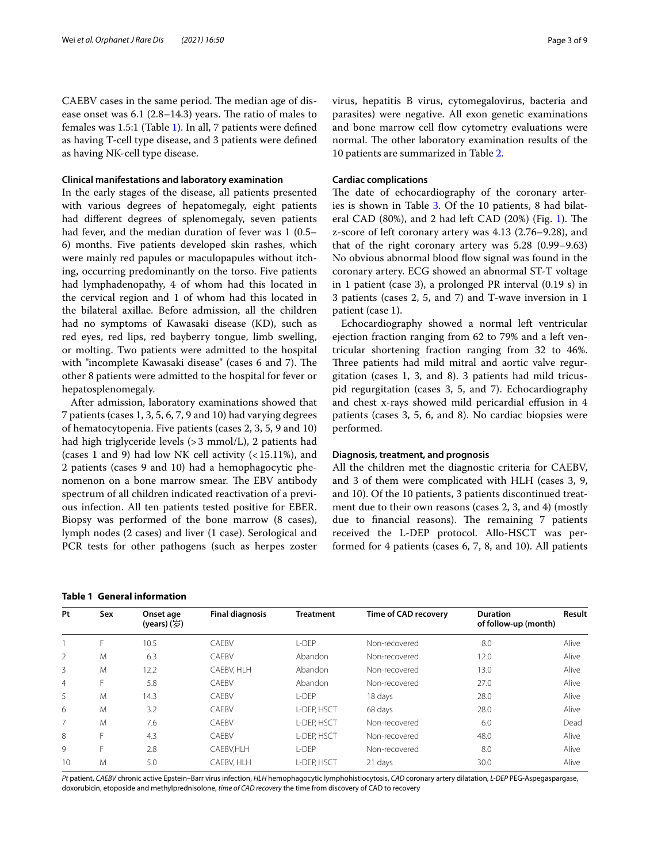CAEBV cases in the same period. The median age of disease onset was  $6.1$  (2.8–14.3) years. The ratio of males to females was 1.5:1 (Table [1](#page-2-0)). In all, 7 patients were defned as having T-cell type disease, and 3 patients were defned as having NK-cell type disease.

## **Clinical manifestations and laboratory examination**

In the early stages of the disease, all patients presented with various degrees of hepatomegaly, eight patients had diferent degrees of splenomegaly, seven patients had fever, and the median duration of fever was 1 (0.5– 6) months. Five patients developed skin rashes, which were mainly red papules or maculopapules without itching, occurring predominantly on the torso. Five patients had lymphadenopathy, 4 of whom had this located in the cervical region and 1 of whom had this located in the bilateral axillae. Before admission, all the children had no symptoms of Kawasaki disease (KD), such as red eyes, red lips, red bayberry tongue, limb swelling, or molting. Two patients were admitted to the hospital with "incomplete Kawasaki disease" (cases 6 and 7). The other 8 patients were admitted to the hospital for fever or hepatosplenomegaly.

After admission, laboratory examinations showed that 7 patients (cases 1, 3, 5, 6, 7, 9 and 10) had varying degrees of hematocytopenia. Five patients (cases 2, 3, 5, 9 and 10) had high triglyceride levels (>3 mmol/L), 2 patients had (cases 1 and 9) had low NK cell activity  $($  < 15.11%), and 2 patients (cases 9 and 10) had a hemophagocytic phenomenon on a bone marrow smear. The EBV antibody spectrum of all children indicated reactivation of a previous infection. All ten patients tested positive for EBER. Biopsy was performed of the bone marrow (8 cases), lymph nodes (2 cases) and liver (1 case). Serological and PCR tests for other pathogens (such as herpes zoster

<span id="page-2-0"></span>

|  | <b>Table 1 General information</b> |  |  |
|--|------------------------------------|--|--|
|--|------------------------------------|--|--|

virus, hepatitis B virus, cytomegalovirus, bacteria and parasites) were negative. All exon genetic examinations and bone marrow cell flow cytometry evaluations were normal. The other laboratory examination results of the 10 patients are summarized in Table [2.](#page-3-0)

## **Cardiac complications**

The date of echocardiography of the coronary arteries is shown in Table [3.](#page-4-0) Of the 10 patients, 8 had bilat-eral CAD (80%), and 2 had left CAD (20%) (Fig. [1\)](#page-5-0). The z-score of left coronary artery was 4.13 (2.76–9.28), and that of the right coronary artery was 5.28 (0.99–9.63) No obvious abnormal blood flow signal was found in the coronary artery. ECG showed an abnormal ST-T voltage in 1 patient (case 3), a prolonged PR interval (0.19 s) in 3 patients (cases 2, 5, and 7) and T-wave inversion in 1 patient (case 1).

Echocardiography showed a normal left ventricular ejection fraction ranging from 62 to 79% and a left ventricular shortening fraction ranging from 32 to 46%. Three patients had mild mitral and aortic valve regurgitation (cases 1, 3, and 8). 3 patients had mild tricuspid regurgitation (cases 3, 5, and 7). Echocardiography and chest x-rays showed mild pericardial efusion in 4 patients (cases 3, 5, 6, and 8). No cardiac biopsies were performed.

## **Diagnosis, treatment, and prognosis**

All the children met the diagnostic criteria for CAEBV, and 3 of them were complicated with HLH (cases 3, 9, and 10). Of the 10 patients, 3 patients discontinued treatment due to their own reasons (cases 2, 3, and 4) (mostly due to financial reasons). The remaining 7 patients received the L-DEP protocol. Allo-HSCT was performed for 4 patients (cases 6, 7, 8, and 10). All patients

| Pt             | Sex | Onset age<br>(years) (岁) | <b>Final diagnosis</b> | <b>Treatment</b> | <b>Time of CAD recovery</b> | <b>Duration</b><br>of follow-up (month) | Result |
|----------------|-----|--------------------------|------------------------|------------------|-----------------------------|-----------------------------------------|--------|
|                | F   | 10.5                     | CAEBV                  | L-DEP            | Non-recovered               | 8.0                                     | Alive  |
| 2              | M   | 6.3                      | CAEBV                  | Abandon          | Non-recovered               | 12.0                                    | Alive  |
| 3              | M   | 12.2                     | CAEBV, HLH             | Abandon          | Non-recovered               | 13.0                                    | Alive  |
| $\overline{4}$ | F   | 5.8                      | CAFBV                  | Abandon          | Non-recovered               | 27.0                                    | Alive  |
| 5              | M   | 14.3                     | CAEBV                  | L-DEP            | 18 days                     | 28.0                                    | Alive  |
| 6              | M   | 3.2                      | CAEBV                  | L-DEP. HSCT      | 68 days                     | 28.0                                    | Alive  |
| 7              | M   | 7.6                      | CAEBV                  | L-DEP, HSCT      | Non-recovered               | 6.0                                     | Dead   |
| 8              | F   | 4.3                      | CAFBV                  | L-DEP. HSCT      | Non-recovered               | 48.0                                    | Alive  |
| 9              | F   | 2.8                      | CAEBV.HLH              | $I$ -DFP         | Non-recovered               | 8.0                                     | Alive  |
| 10             | M   | 5.0                      | CAEBV, HLH             | L-DEP, HSCT      | 21 days                     | 30.0                                    | Alive  |

*Pt* patient, *CAEBV* chronic active Epstein–Barr virus infection, *HLH* hemophagocytic lymphohistiocytosis, *CAD* coronary artery dilatation, *L-DEP* PEG-Aspegaspargase, doxorubicin, etoposide and methylprednisolone, *time of CAD recovery* the time from discovery of CAD to recovery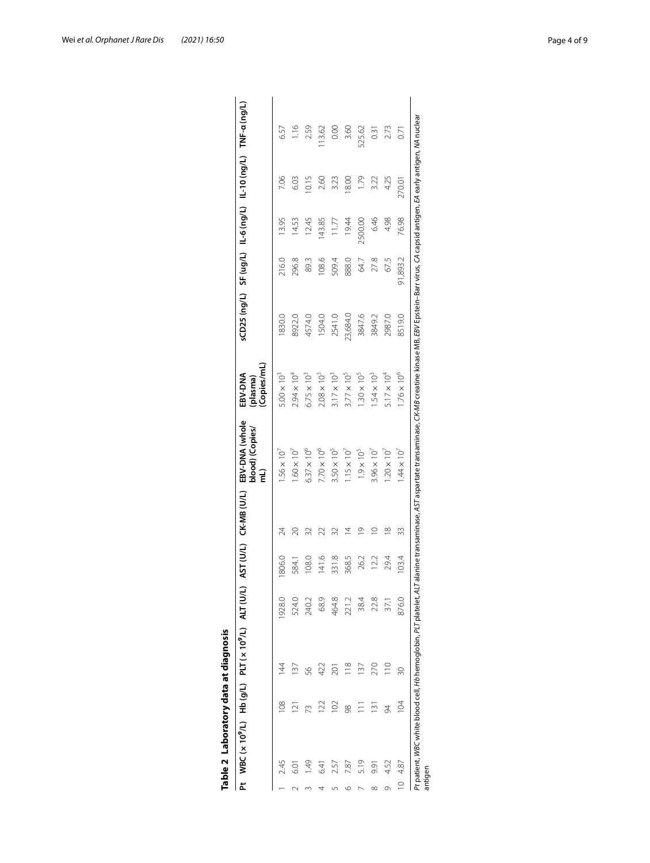|             | Pt WBC(x10 <sup>9</sup> /L) Hb(g/L) PLT(x10 <sup>9</sup> /L) ALT(U/L) |                |                |        |       | AST (U/L) CK-MB (U/L) | EBV-DNA (whole<br>blood) (Copies/ | Copies/mL)<br>EBV-DNA<br>(plasma) |          |          |         | sCD25 (ng/L) SF (ug/L) IL-6 (ng/L) IL-10 (ng/L) TNF-a (ng/L) |        |
|-------------|-----------------------------------------------------------------------|----------------|----------------|--------|-------|-----------------------|-----------------------------------|-----------------------------------|----------|----------|---------|--------------------------------------------------------------|--------|
|             | 2.45                                                                  | 8              | $\overline{4}$ | 1928.0 | 806.0 | 24                    | $.56 \times 10^{7}$               | $5.00 \times 10^3$                | 1830.0   | 216.0    | 13.95   | 7.06                                                         | 6.57   |
|             |                                                                       | $\bar{\simeq}$ |                | 524.0  | 584.  |                       | $1.60 \times 10^7$                | $2.94 \times 10^{4}$              | 8922.0   | 296.8    | 14.53   | 6.03                                                         | 1.16   |
|             | 949                                                                   | 73             | 56             | 240.2  | 108.0 |                       | $6.37 \times 10^{6}$              | $6.75 \times 10^{3}$              | 4574.0   | 89.3     | 12.45   | 0.15                                                         | 2.59   |
|             | 541                                                                   | 122            | 422            | 68.9   | 141.6 |                       | $7.70 \times 10^6$                | $2.08 \times 10^{3}$              | 1504.0   | 108.6    | 143.85  | 2.60                                                         | 13.62  |
|             | 2.57                                                                  | $\approx$      | 201            | 464.8  | 331.8 |                       | $3.50 \times 10^{5}$              | $3.17 \times 10^{3}$              | 2541.0   | 509.4    | 11.77   | 3.23                                                         | 0.00   |
|             | 7.87                                                                  | 98             | $\frac{8}{18}$ | 221.2  | 368.5 | 4                     | $1.15 \times 10^{7}$              | $3.77 \times 10^{5}$              | 23,684.0 | 888.0    | 19.44   | 18.00                                                        | 3.60   |
|             | 5.19                                                                  |                | 137            | 38.4   | 26.2  | ₾                     | $1.9 \times 10^{5}$               | $1.30 \times 10^{5}$              | 3847.6   | 64.7     | 2500.00 | 1.79                                                         | 525.62 |
| ∞           | 9.91                                                                  | $\frac{1}{2}$  | 270            | 22.8   | 12.2  | $\circ$               | $3.96 \times 10^7$                | $1.54 \times 10^{3}$              | 3849.2   | 27.8     | 6.46    | 3.22                                                         | 0.31   |
| Ō           | 4.52                                                                  | 24             | $\supseteq$    | 37.1   | 29.4  | $\infty$              | $1.20 \times 10^{7}$              | $5.17 \times 10^{4}$              | 2987.0   | 67.5     | 4.98    | 4.25                                                         | 2.73   |
| $\supseteq$ | 4.87                                                                  | 104            |                | 876.0  | 103.4 | 33                    | $.44 \times 10^{7}$               | $1.76 \times 10^{6}$              | 8519.0   | 91,893.2 | 76.98   | 270.01                                                       | 0.71   |

<span id="page-3-0"></span>

| l           |
|-------------|
| ı           |
|             |
|             |
| ١           |
|             |
|             |
| I           |
| ۱           |
| ľ           |
| l<br>ı      |
| í<br>I<br>í |
| l<br>l      |
|             |
| Ï           |
|             |
|             |
|             |
|             |
| i           |
|             |
|             |
|             |
| ۹           |
|             |
|             |
| í           |
| í           |
|             |

Wei *et al. Orphanet J Rare Dis (2021) 16:50* Page 4 of 9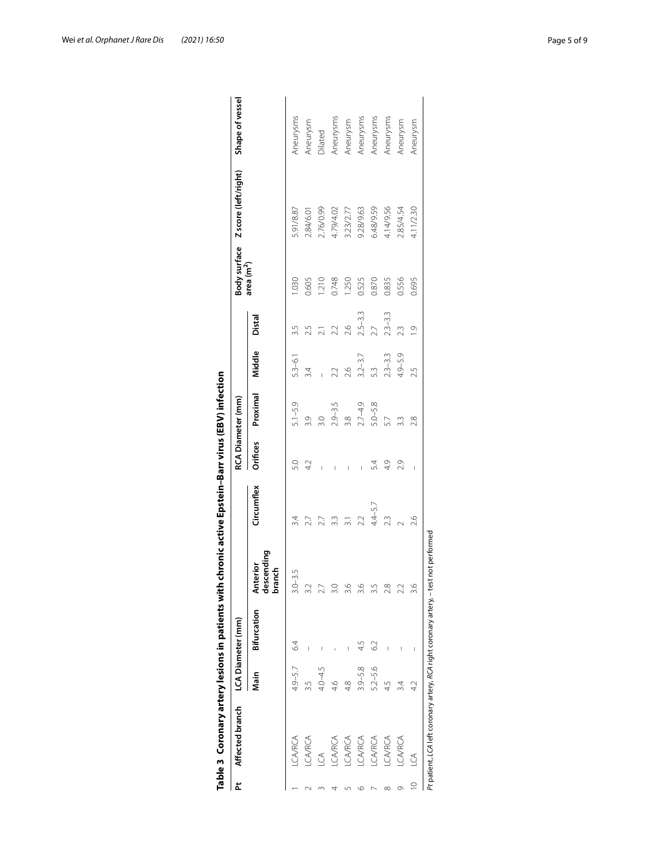| <b>CA/RCA</b><br>CA/RCA<br><b>CA/RCA</b><br>J<br>4 |             | LCA Diameter (mm) |                                         |            |                 | RCA Diameter (mm) |             |                 |                        | Body surface Z score (left/right) | Shape of vessel |
|----------------------------------------------------|-------------|-------------------|-----------------------------------------|------------|-----------------|-------------------|-------------|-----------------|------------------------|-----------------------------------|-----------------|
|                                                    | Main        | Bifurcation       | descending<br><b>Interior</b><br>branch | Circumflex | <b>Orifices</b> | Proximal          | Middle      | Distal          | area (m <sup>2</sup> ) |                                   |                 |
|                                                    | $4.9 - 5.7$ | 64                | $.0 - 3.5$                              |            | 5.0             | $5.1 - 5.9$       | $5.3 - 6.1$ |                 | 1.030                  | 5.91/8.87                         | Aneurysms       |
|                                                    |             |                   | $\overline{\mathcal{C}}$                |            | 4.2             | 3.9               | 3.4         |                 | 0.605                  | 2.84/6.01                         | Aneurysm        |
|                                                    | $4.0 - 4.5$ |                   | Ŋ                                       |            |                 | 3.0               |             |                 | 1.210                  | 2.76/0.99                         | Dilated         |
|                                                    | 46          |                   | $\circ$                                 |            |                 | $2.9 - 3.5$       | 2.2         | 2.2             | 0.748                  | 4.79/4.02                         | Aneurysms       |
| <b>CA/RCA</b>                                      | 4.8         | Ī                 | $\circ$                                 |            |                 | 38                | 2.6         | 2.6             | 1.250                  | 3.23/2.77                         | Aneurysm        |
| <b>CA/RCA</b><br>७                                 | $3.9 - 5.8$ | 45                | $\circ$                                 | 2.2        |                 | $2.7 - 4.9$       | $3.2 - 3.7$ | $2.5 - 3.3$     | 0.525                  | 9.28/9.63                         | Aneurysms       |
| <b>CA/RCA</b>                                      | $5.2 - 5.6$ | S <sub>2</sub>    | ŋ                                       | $44 - 5.7$ | 54              | $5.0 - 5.8$       | 5.3         | $\overline{27}$ | 0.870                  | 6.48/9.59                         | Aneurysms       |
| <b>CA/RCA</b><br>∞                                 | 45          |                   | œ                                       | 23         | 4.9             | 5.7               | $2.3 - 3.3$ | $2.3 - 3.3$     | 0.835                  | 4.14/9.56                         | Aneurysms       |
| <b>CA/RCA</b><br>Ō                                 | 3.4         |                   |                                         |            | 2.9             | 3.3               | $4.9 - 5.9$ | 23              | 0.556                  | 2.85/4.54                         | Aneurysm        |
| $\widetilde{\mathcal{C}}$<br>$\supseteq$           |             | I                 | $\circ$                                 | 2.6        | $\mathbf{I}$    | $\frac{8}{2}$     | 25          | $\overline{C}$  | 0.695                  | 4.11/2.30                         | Aneurysm        |

<span id="page-4-0"></span>

| ֧֧֧֧֧֧֧֧֘֝֝֝֝֬֝֬֝֬֝֬֝֬֓֝֬֝֬֝֬֝֬֝֬֝֬֝֬֝֬֝<br>֧֪֪֝ <b>֓</b> ֧֪ׅ֧֪ׅ֖֚֓֬֓ |
|-----------------------------------------------------------------------|
|                                                                       |
|                                                                       |
|                                                                       |
|                                                                       |
|                                                                       |
|                                                                       |
| ֠                                                                     |
|                                                                       |
|                                                                       |
|                                                                       |
| I                                                                     |
| י                                                                     |
|                                                                       |
|                                                                       |
|                                                                       |
|                                                                       |
|                                                                       |
|                                                                       |
|                                                                       |
|                                                                       |
|                                                                       |
|                                                                       |
|                                                                       |
|                                                                       |
|                                                                       |
|                                                                       |
|                                                                       |
|                                                                       |
|                                                                       |
|                                                                       |
|                                                                       |
|                                                                       |
|                                                                       |
|                                                                       |
|                                                                       |
|                                                                       |
|                                                                       |
|                                                                       |
|                                                                       |
|                                                                       |
|                                                                       |
|                                                                       |
|                                                                       |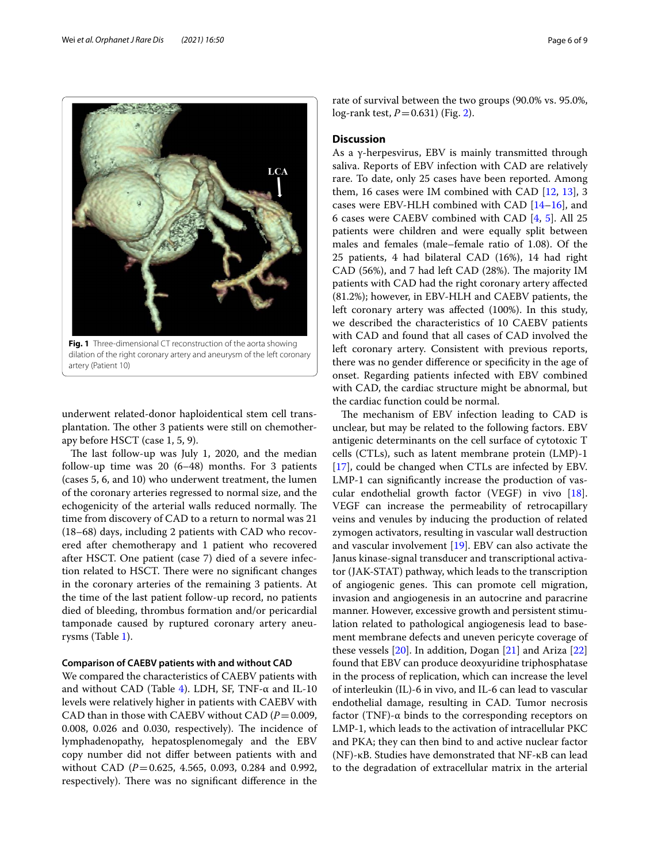

<span id="page-5-0"></span>dilation of the right coronary artery and aneurysm of the left coronary artery (Patient 10)

underwent related-donor haploidentical stem cell transplantation. The other 3 patients were still on chemotherapy before HSCT (case 1, 5, 9).

The last follow-up was July 1, 2020, and the median follow-up time was 20 (6–48) months. For 3 patients (cases 5, 6, and 10) who underwent treatment, the lumen of the coronary arteries regressed to normal size, and the echogenicity of the arterial walls reduced normally. The time from discovery of CAD to a return to normal was 21 (18–68) days, including 2 patients with CAD who recovered after chemotherapy and 1 patient who recovered after HSCT. One patient (case 7) died of a severe infection related to HSCT. There were no significant changes in the coronary arteries of the remaining 3 patients. At the time of the last patient follow-up record, no patients died of bleeding, thrombus formation and/or pericardial tamponade caused by ruptured coronary artery aneurysms (Table [1](#page-2-0)).

## **Comparison of CAEBV patients with and without CAD**

We compared the characteristics of CAEBV patients with and without CAD (Table [4\)](#page-6-0). LDH, SF, TNF- $\alpha$  and IL-10 levels were relatively higher in patients with CAEBV with CAD than in those with CAEBV without CAD  $(P=0.009,$  $0.008$ ,  $0.026$  and  $0.030$ , respectively). The incidence of lymphadenopathy, hepatosplenomegaly and the EBV copy number did not difer between patients with and without CAD (*P*=0.625, 4.565, 0.093, 0.284 and 0.992, respectively). There was no significant difference in the rate of survival between the two groups (90.0% vs. 95.0%, log-rank test, *P*=0.631) (Fig. [2](#page-6-1)).

## **Discussion**

As a γ-herpesvirus, EBV is mainly transmitted through saliva. Reports of EBV infection with CAD are relatively rare. To date, only 25 cases have been reported. Among them, 16 cases were IM combined with CAD [\[12,](#page-8-11) [13](#page-8-12)], 3 cases were EBV-HLH combined with CAD [\[14](#page-8-13)[–16\]](#page-8-14), and 6 cases were CAEBV combined with CAD [\[4](#page-8-3), [5\]](#page-8-4). All 25 patients were children and were equally split between males and females (male–female ratio of 1.08). Of the 25 patients, 4 had bilateral CAD (16%), 14 had right CAD (56%), and 7 had left CAD (28%). The majority IM patients with CAD had the right coronary artery afected (81.2%); however, in EBV-HLH and CAEBV patients, the left coronary artery was afected (100%). In this study, we described the characteristics of 10 CAEBV patients with CAD and found that all cases of CAD involved the left coronary artery. Consistent with previous reports, there was no gender diference or specifcity in the age of onset. Regarding patients infected with EBV combined with CAD, the cardiac structure might be abnormal, but the cardiac function could be normal.

The mechanism of EBV infection leading to CAD is unclear, but may be related to the following factors. EBV antigenic determinants on the cell surface of cytotoxic T cells (CTLs), such as latent membrane protein (LMP)-1 [[17\]](#page-8-15), could be changed when CTLs are infected by EBV. LMP-1 can signifcantly increase the production of vascular endothelial growth factor (VEGF) in vivo [\[18](#page-8-16)]. VEGF can increase the permeability of retrocapillary veins and venules by inducing the production of related zymogen activators, resulting in vascular wall destruction and vascular involvement [[19\]](#page-8-17). EBV can also activate the Janus kinase-signal transducer and transcriptional activator (JAK-STAT) pathway, which leads to the transcription of angiogenic genes. This can promote cell migration, invasion and angiogenesis in an autocrine and paracrine manner. However, excessive growth and persistent stimulation related to pathological angiogenesis lead to basement membrane defects and uneven pericyte coverage of these vessels [\[20](#page-8-18)]. In addition, Dogan [[21](#page-8-19)] and Ariza [[22](#page-8-20)] found that EBV can produce deoxyuridine triphosphatase in the process of replication, which can increase the level of interleukin (IL)-6 in vivo, and IL-6 can lead to vascular endothelial damage, resulting in CAD. Tumor necrosis factor (TNF)- $\alpha$  binds to the corresponding receptors on LMP-1, which leads to the activation of intracellular PKC and PKA; they can then bind to and active nuclear factor (NF)-κB. Studies have demonstrated that NF-κB can lead to the degradation of extracellular matrix in the arterial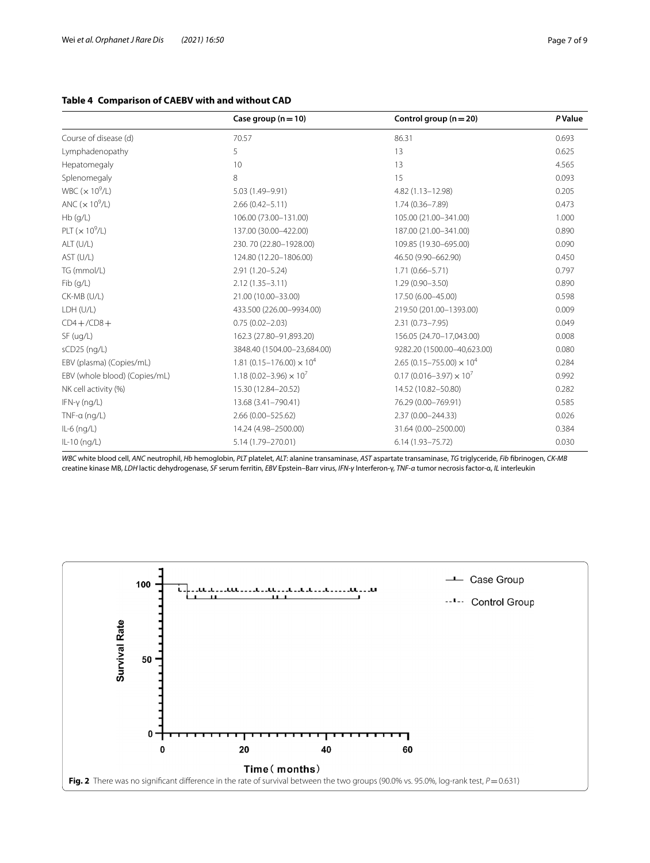## <span id="page-6-0"></span>**Table 4 Comparison of CAEBV with and without CAD**

|                               | Case group $(n=10)$                           | Control group $(n = 20)$                      | <b>P</b> Value |
|-------------------------------|-----------------------------------------------|-----------------------------------------------|----------------|
| Course of disease (d)         | 70.57                                         | 86.31                                         | 0.693          |
| Lymphadenopathy               | 5                                             | 13                                            | 0.625          |
| Hepatomegaly                  | 10                                            | 13                                            | 4.565          |
| Splenomegaly                  | 8                                             | 15                                            | 0.093          |
| WBC $(x 10^9/L)$              | 5.03 (1.49-9.91)                              | 4.82 (1.13-12.98)                             | 0.205          |
| ANC $(x 10^9/L)$              | $2.66(0.42 - 5.11)$                           | $1.74(0.36 - 7.89)$                           | 0.473          |
| Hb(g/L)                       | 106.00 (73.00-131.00)                         | 105.00 (21.00-341.00)                         | 1.000          |
| PLT $(x 10^9/L)$              | 137.00 (30.00-422.00)                         | 187.00 (21.00-341.00)                         | 0.890          |
| ALT (U/L)                     | 230.70 (22.80-1928.00)                        | 109.85 (19.30-695.00)                         | 0.090          |
| AST (U/L)                     | 124.80 (12.20-1806.00)                        | 46.50 (9.90-662.90)                           | 0.450          |
| TG (mmol/L)                   | $2.91(1.20 - 5.24)$                           | $1.71(0.66 - 5.71)$                           | 0.797          |
| Fib (q/L)                     | $2.12(1.35 - 3.11)$                           | $1.29(0.90 - 3.50)$                           | 0.890          |
| CK-MB (U/L)                   | 21.00 (10.00-33.00)                           | 17.50 (6.00-45.00)                            | 0.598          |
| LDH (U/L)                     | 433.500 (226.00-9934.00)                      | 219.50 (201.00-1393.00)                       | 0.009          |
| $CD4 + /CD8 +$                | $0.75(0.02 - 2.03)$                           | $2.31(0.73 - 7.95)$                           | 0.049          |
| SF( uq/L)                     | 162.3 (27.80-91,893.20)                       | 156.05 (24.70-17,043.00)                      | 0.008          |
| sCD25 (ng/L)                  | 3848.40 (1504.00-23,684.00)                   | 9282.20 (1500.00-40,623.00)                   | 0.080          |
| EBV (plasma) (Copies/mL)      | 1.81 (0.15 – 176.00) $\times$ 10 <sup>4</sup> | 2.65 (0.15 – 755.00) $\times$ 10 <sup>4</sup> | 0.284          |
| EBV (whole blood) (Copies/mL) | 1.18 (0.02-3.96) $\times$ 10 <sup>7</sup>     | $0.17(0.016 - 3.97) \times 10^{7}$            | 0.992          |
| NK cell activity (%)          | 15.30 (12.84-20.52)                           | 14.52 (10.82-50.80)                           | 0.282          |
| $IFN-\gamma$ (ng/L)           | 13.68 (3.41-790.41)                           | 76.29 (0.00-769.91)                           | 0.585          |
| $TNF-a$ (ng/L)                | 2.66 (0.00-525.62)                            | 2.37 (0.00-244.33)                            | 0.026          |
| $IL-6$ (ng/L)                 | 14.24 (4.98-2500.00)                          | 31.64 (0.00-2500.00)                          | 0.384          |
| $IL-10$ (ng/L)                | 5.14 (1.79-270.01)                            | $6.14(1.93 - 75.72)$                          | 0.030          |

*WBC* white blood cell, *ANC* neutrophil, *Hb* hemoglobin, *PLT* platelet, *ALT*: alanine transaminase, *AST* aspartate transaminase, *TG* triglyceride, *Fib* fbrinogen, *CK-MB* creatine kinase MB, *LDH* lactic dehydrogenase, *SF* serum ferritin, *EBV* Epstein–Barr virus, *IFN-γ* Interferon-γ, *TNF-α* tumor necrosis factor-α, *IL* interleukin

<span id="page-6-1"></span>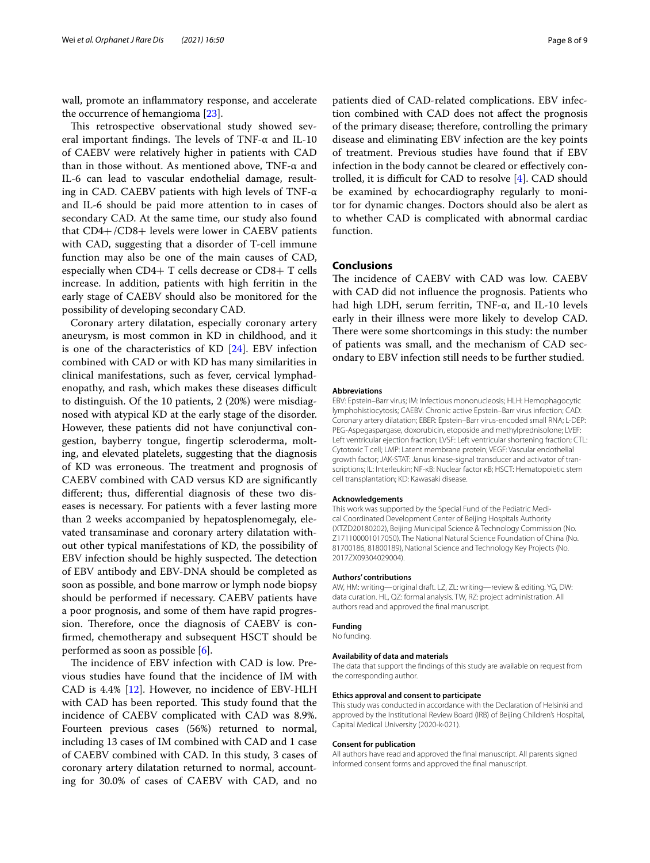wall, promote an infammatory response, and accelerate the occurrence of hemangioma [\[23](#page-8-21)].

This retrospective observational study showed several important findings. The levels of TNF- $\alpha$  and IL-10 of CAEBV were relatively higher in patients with CAD than in those without. As mentioned above, TNF- $α$  and IL-6 can lead to vascular endothelial damage, resulting in CAD. CAEBV patients with high levels of TNF- $\alpha$ and IL-6 should be paid more attention to in cases of secondary CAD. At the same time, our study also found that CD4+/CD8+ levels were lower in CAEBV patients with CAD, suggesting that a disorder of T-cell immune function may also be one of the main causes of CAD, especially when CD4+ T cells decrease or CD8+ T cells increase. In addition, patients with high ferritin in the early stage of CAEBV should also be monitored for the possibility of developing secondary CAD.

Coronary artery dilatation, especially coronary artery aneurysm, is most common in KD in childhood, and it is one of the characteristics of KD [\[24](#page-8-22)]. EBV infection combined with CAD or with KD has many similarities in clinical manifestations, such as fever, cervical lymphadenopathy, and rash, which makes these diseases difficult to distinguish. Of the 10 patients, 2 (20%) were misdiagnosed with atypical KD at the early stage of the disorder. However, these patients did not have conjunctival congestion, bayberry tongue, fngertip scleroderma, molting, and elevated platelets, suggesting that the diagnosis of KD was erroneous. The treatment and prognosis of CAEBV combined with CAD versus KD are signifcantly diferent; thus, diferential diagnosis of these two diseases is necessary. For patients with a fever lasting more than 2 weeks accompanied by hepatosplenomegaly, elevated transaminase and coronary artery dilatation without other typical manifestations of KD, the possibility of EBV infection should be highly suspected. The detection of EBV antibody and EBV-DNA should be completed as soon as possible, and bone marrow or lymph node biopsy should be performed if necessary. CAEBV patients have a poor prognosis, and some of them have rapid progression. Therefore, once the diagnosis of CAEBV is confrmed, chemotherapy and subsequent HSCT should be performed as soon as possible [[6](#page-8-5)].

The incidence of EBV infection with CAD is low. Previous studies have found that the incidence of IM with CAD is 4.4% [[12\]](#page-8-11). However, no incidence of EBV-HLH with CAD has been reported. This study found that the incidence of CAEBV complicated with CAD was 8.9%. Fourteen previous cases (56%) returned to normal, including 13 cases of IM combined with CAD and 1 case of CAEBV combined with CAD. In this study, 3 cases of coronary artery dilatation returned to normal, accounting for 30.0% of cases of CAEBV with CAD, and no

patients died of CAD-related complications. EBV infection combined with CAD does not afect the prognosis of the primary disease; therefore, controlling the primary disease and eliminating EBV infection are the key points of treatment. Previous studies have found that if EBV infection in the body cannot be cleared or efectively controlled, it is difficult for CAD to resolve  $[4]$  $[4]$ . CAD should be examined by echocardiography regularly to monitor for dynamic changes. Doctors should also be alert as to whether CAD is complicated with abnormal cardiac function.

## **Conclusions**

The incidence of CAEBV with CAD was low. CAEBV with CAD did not infuence the prognosis. Patients who had high LDH, serum ferritin, TNF-α, and IL-10 levels early in their illness were more likely to develop CAD. There were some shortcomings in this study: the number of patients was small, and the mechanism of CAD secondary to EBV infection still needs to be further studied.

#### **Abbreviations**

EBV: Epstein–Barr virus; IM: Infectious mononucleosis; HLH: Hemophagocytic lymphohistiocytosis; CAEBV: Chronic active Epstein–Barr virus infection; CAD: Coronary artery dilatation; EBER: Epstein–Barr virus-encoded small RNA; L-DEP: PEG-Aspegaspargase, doxorubicin, etoposide and methylprednisolone; LVEF: Left ventricular ejection fraction; LVSF: Left ventricular shortening fraction; CTL: Cytotoxic T cell; LMP: Latent membrane protein; VEGF: Vascular endothelial growth factor; JAK-STAT: Janus kinase-signal transducer and activator of transcriptions; IL: Interleukin; NF-κB: Nuclear factor κB; HSCT: Hematopoietic stem cell transplantation; KD: Kawasaki disease.

#### **Acknowledgements**

This work was supported by the Special Fund of the Pediatric Medical Coordinated Development Center of Beijing Hospitals Authority (XTZD20180202), Beijing Municipal Science & Technology Commission (No. Z171100001017050). The National Natural Science Foundation of China (No. 81700186, 81800189), National Science and Technology Key Projects (No. 2017ZX09304029004).

#### **Authors' contributions**

AW, HM: writing—original draft. LZ, ZL: writing—review & editing. YG, DW: data curation. HL, QZ: formal analysis. TW, RZ: project administration. All authors read and approved the fnal manuscript.

## **Funding**

No funding.

### **Availability of data and materials**

The data that support the fndings of this study are available on request from the corresponding author.

### **Ethics approval and consent to participate**

This study was conducted in accordance with the Declaration of Helsinki and approved by the Institutional Review Board (IRB) of Beijing Children's Hospital, Capital Medical University (2020-k-021).

#### **Consent for publication**

All authors have read and approved the fnal manuscript. All parents signed informed consent forms and approved the fnal manuscript.